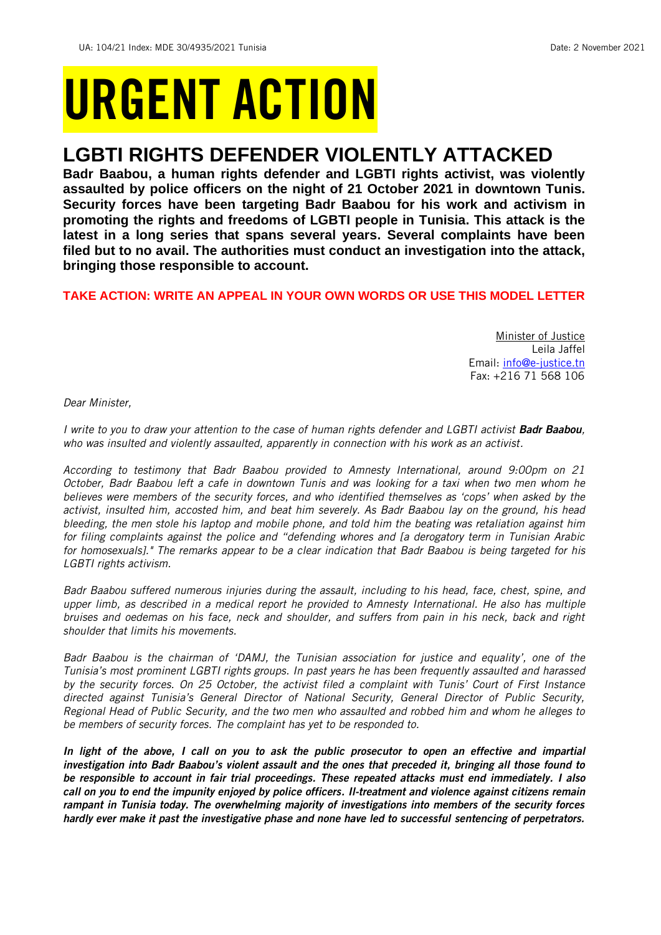# URGENT ACTION

## **LGBTI RIGHTS DEFENDER VIOLENTLY ATTACKED**

**Badr Baabou, a human rights defender and LGBTI rights activist, was violently assaulted by police officers on the night of 21 October 2021 in downtown Tunis. Security forces have been targeting Badr Baabou for his work and activism in promoting the rights and freedoms of LGBTI people in Tunisia. This attack is the latest in a long series that spans several years. Several complaints have been filed but to no avail. The authorities must conduct an investigation into the attack, bringing those responsible to account.**

#### **TAKE ACTION: WRITE AN APPEAL IN YOUR OWN WORDS OR USE THIS MODEL LETTER**

Minister of Justice Leila Jaffel Email: [info@e-justice.tn](mailto:info@e-justice.tn) Fax: +216 71 568 106

*Dear Minister,*

*I write to you to draw your attention to the case of human rights defender and LGBTI activist Badr Baabou, who was insulted and violently assaulted, apparently in connection with his work as an activist.*

*According to testimony that Badr Baabou provided to Amnesty International, around 9:00pm on 21 October, Badr Baabou left a cafe in downtown Tunis and was looking for a taxi when two men whom he believes were members of the security forces, and who identified themselves as 'cops' when asked by the activist, insulted him, accosted him, and beat him severely. As Badr Baabou lay on the ground, his head bleeding, the men stole his laptop and mobile phone, and told him the beating was retaliation against him for filing complaints against the police and "defending whores and [a derogatory term in Tunisian Arabic for homosexuals]." The remarks appear to be a clear indication that Badr Baabou is being targeted for his LGBTI rights activism.*

*Badr Baabou suffered numerous injuries during the assault, including to his head, face, chest, spine, and upper limb, as described in a medical report he provided to Amnesty International. He also has multiple bruises and oedemas on his face, neck and shoulder, and suffers from pain in his neck, back and right shoulder that limits his movements.* 

*Badr Baabou is the chairman of 'DAMJ, the Tunisian association for justice and equality', one of the Tunisia's most prominent LGBTI rights groups. In past years he has been frequently assaulted and harassed by the security forces. On 25 October, the activist filed a complaint with Tunis' Court of First Instance directed against Tunisia's General Director of National Security, General Director of Public Security, Regional Head of Public Security, and the two men who assaulted and robbed him and whom he alleges to be members of security forces. The complaint has yet to be responded to.*

*In light of the above, I call on you to ask the public prosecutor to open an effective and impartial investigation into Badr Baabou's violent assault and the ones that preceded it, bringing all those found to be responsible to account in fair trial proceedings. These repeated attacks must end immediately. I also call on you to end the impunity enjoyed by police officers. Il-treatment and violence against citizens remain rampant in Tunisia today. The overwhelming majority of investigations into members of the security forces hardly ever make it past the investigative phase and none have led to successful sentencing of perpetrators.*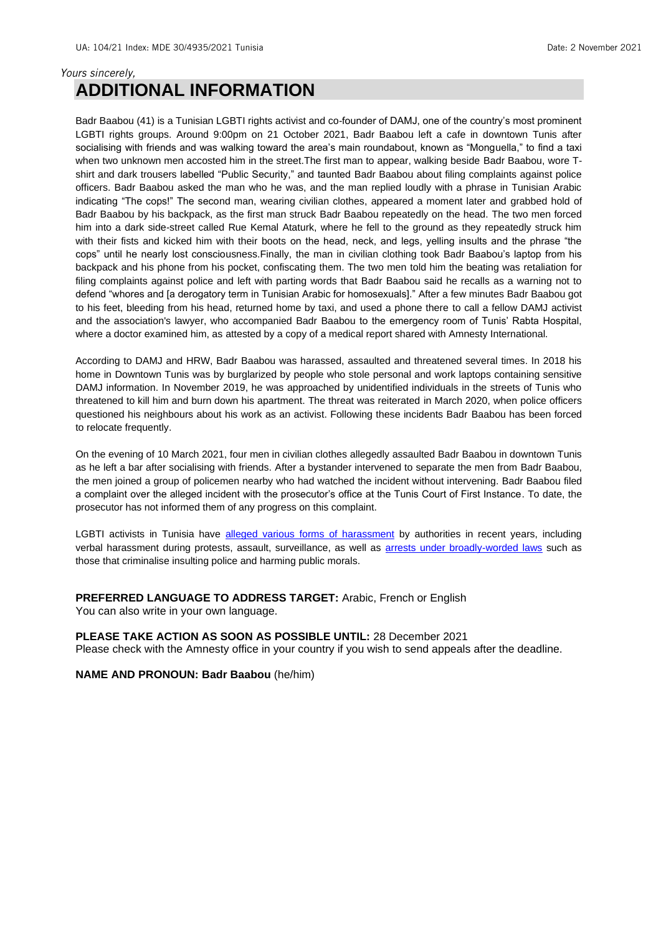#### *Yours sincerely,* **ADDITIONAL INFORMATION**

Badr Baabou (41) is a Tunisian LGBTI rights activist and co-founder of DAMJ, one of the country's most prominent LGBTI rights groups. Around 9:00pm on 21 October 2021, Badr Baabou left a cafe in downtown Tunis after socialising with friends and was walking toward the area's main roundabout, known as "Monguella," to find a taxi when two unknown men accosted him in the street.The first man to appear, walking beside Badr Baabou, wore Tshirt and dark trousers labelled "Public Security," and taunted Badr Baabou about filing complaints against police officers. Badr Baabou asked the man who he was, and the man replied loudly with a phrase in Tunisian Arabic indicating "The cops!" The second man, wearing civilian clothes, appeared a moment later and grabbed hold of Badr Baabou by his backpack, as the first man struck Badr Baabou repeatedly on the head. The two men forced him into a dark side-street called Rue Kemal Ataturk, where he fell to the ground as they repeatedly struck him with their fists and kicked him with their boots on the head, neck, and legs, yelling insults and the phrase "the cops" until he nearly lost consciousness.Finally, the man in civilian clothing took Badr Baabou's laptop from his backpack and his phone from his pocket, confiscating them. The two men told him the beating was retaliation for filing complaints against police and left with parting words that Badr Baabou said he recalls as a warning not to defend "whores and [a derogatory term in Tunisian Arabic for homosexuals]." After a few minutes Badr Baabou got to his feet, bleeding from his head, returned home by taxi, and used a phone there to call a fellow DAMJ activist and the association's lawyer, who accompanied Badr Baabou to the emergency room of Tunis' Rabta Hospital, where a doctor examined him, as attested by a copy of a medical report shared with Amnesty International.

According to DAMJ and HRW, Badr Baabou was harassed, assaulted and threatened several times. In 2018 his home in Downtown Tunis was by burglarized by people who stole personal and work laptops containing sensitive DAMJ information. In November 2019, he was approached by unidentified individuals in the streets of Tunis who threatened to kill him and burn down his apartment. The threat was reiterated in March 2020, when police officers questioned his neighbours about his work as an activist. Following these incidents Badr Baabou has been forced to relocate frequently.

On the evening of 10 March 2021, four men in civilian clothes allegedly assaulted Badr Baabou in downtown Tunis as he left a bar after socialising with friends. After a bystander intervened to separate the men from Badr Baabou, the men joined a group of policemen nearby who had watched the incident without intervening. Badr Baabou filed a complaint over the alleged incident with the prosecutor's office at the Tunis Court of First Instance. To date, the prosecutor has not informed them of any progress on this complaint.

LGBTI activists in Tunisia have [alleged various forms of harassment](https://www.hrw.org/news/2021/02/23/tunisia-police-arrest-use-violence-against-lgbti-activists) by authorities in recent years, including verbal harassment during protests, assault, surveillance, as well as **arrests under broadly-worded laws** such as those that criminalise insulting police and harming public morals.

**PREFERRED LANGUAGE TO ADDRESS TARGET:** Arabic, French or English You can also write in your own language.

**PLEASE TAKE ACTION AS SOON AS POSSIBLE UNTIL:** 28 December 2021

Please check with the Amnesty office in your country if you wish to send appeals after the deadline.

**NAME AND PRONOUN: Badr Baabou** (he/him)